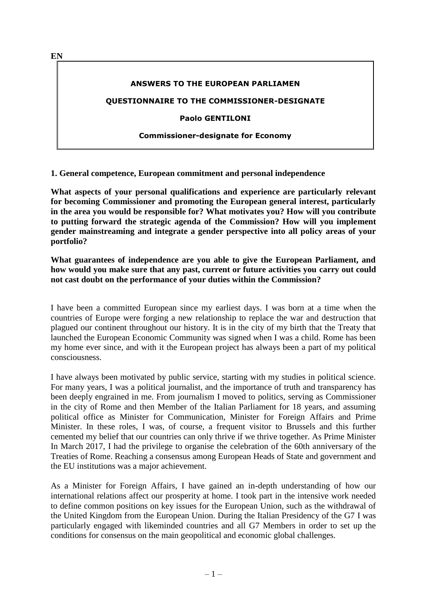**ANSWERS TO THE EUROPEAN PARLIAMEN**

**QUESTIONNAIRE TO THE COMMISSIONER-DESIGNATE**

**Paolo GENTILONI**

#### **Commissioner-designate for Economy**

**1. General competence, European commitment and personal independence**

**What aspects of your personal qualifications and experience are particularly relevant for becoming Commissioner and promoting the European general interest, particularly in the area you would be responsible for? What motivates you? How will you contribute to putting forward the strategic agenda of the Commission? How will you implement gender mainstreaming and integrate a gender perspective into all policy areas of your portfolio?**

**What guarantees of independence are you able to give the European Parliament, and how would you make sure that any past, current or future activities you carry out could not cast doubt on the performance of your duties within the Commission?**

I have been a committed European since my earliest days. I was born at a time when the countries of Europe were forging a new relationship to replace the war and destruction that plagued our continent throughout our history. It is in the city of my birth that the Treaty that launched the European Economic Community was signed when I was a child. Rome has been my home ever since, and with it the European project has always been a part of my political consciousness.

I have always been motivated by public service, starting with my studies in political science. For many years, I was a political journalist, and the importance of truth and transparency has been deeply engrained in me. From journalism I moved to politics, serving as Commissioner in the city of Rome and then Member of the Italian Parliament for 18 years, and assuming political office as Minister for Communication, Minister for Foreign Affairs and Prime Minister. In these roles, I was, of course, a frequent visitor to Brussels and this further cemented my belief that our countries can only thrive if we thrive together. As Prime Minister In March 2017, I had the privilege to organise the celebration of the 60th anniversary of the Treaties of Rome. Reaching a consensus among European Heads of State and government and the EU institutions was a major achievement.

As a Minister for Foreign Affairs, I have gained an in-depth understanding of how our international relations affect our prosperity at home. I took part in the intensive work needed to define common positions on key issues for the European Union, such as the withdrawal of the United Kingdom from the European Union. During the Italian Presidency of the G7 I was particularly engaged with likeminded countries and all G7 Members in order to set up the conditions for consensus on the main geopolitical and economic global challenges.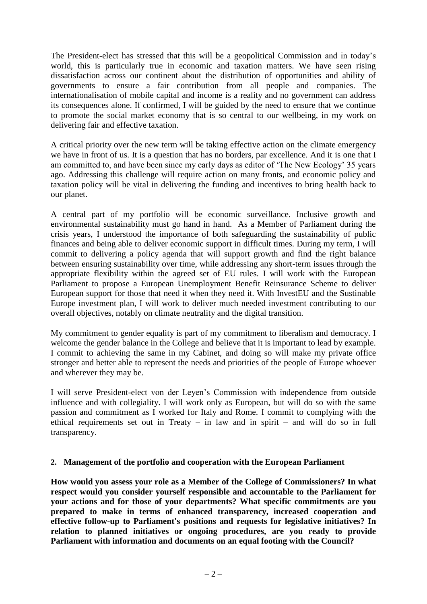The President-elect has stressed that this will be a geopolitical Commission and in today's world, this is particularly true in economic and taxation matters. We have seen rising dissatisfaction across our continent about the distribution of opportunities and ability of governments to ensure a fair contribution from all people and companies. The internationalisation of mobile capital and income is a reality and no government can address its consequences alone. If confirmed, I will be guided by the need to ensure that we continue to promote the social market economy that is so central to our wellbeing, in my work on delivering fair and effective taxation.

A critical priority over the new term will be taking effective action on the climate emergency we have in front of us. It is a question that has no borders, par excellence. And it is one that I am committed to, and have been since my early days as editor of 'The New Ecology' 35 years ago. Addressing this challenge will require action on many fronts, and economic policy and taxation policy will be vital in delivering the funding and incentives to bring health back to our planet.

A central part of my portfolio will be economic surveillance. Inclusive growth and environmental sustainability must go hand in hand. As a Member of Parliament during the crisis years, I understood the importance of both safeguarding the sustainability of public finances and being able to deliver economic support in difficult times. During my term, I will commit to delivering a policy agenda that will support growth and find the right balance between ensuring sustainability over time, while addressing any short-term issues through the appropriate flexibility within the agreed set of EU rules. I will work with the European Parliament to propose a European Unemployment Benefit Reinsurance Scheme to deliver European support for those that need it when they need it. With InvestEU and the Sustinable Europe investment plan, I will work to deliver much needed investment contributing to our overall objectives, notably on climate neutrality and the digital transition.

My commitment to gender equality is part of my commitment to liberalism and democracy. I welcome the gender balance in the College and believe that it is important to lead by example. I commit to achieving the same in my Cabinet, and doing so will make my private office stronger and better able to represent the needs and priorities of the people of Europe whoever and wherever they may be.

I will serve President-elect von der Leyen's Commission with independence from outside influence and with collegiality. I will work only as European, but will do so with the same passion and commitment as I worked for Italy and Rome. I commit to complying with the ethical requirements set out in Treaty – in law and in spirit – and will do so in full transparency.

# **2. Management of the portfolio and cooperation with the European Parliament**

**How would you assess your role as a Member of the College of Commissioners? In what respect would you consider yourself responsible and accountable to the Parliament for your actions and for those of your departments? What specific commitments are you prepared to make in terms of enhanced transparency, increased cooperation and effective follow-up to Parliament's positions and requests for legislative initiatives? In relation to planned initiatives or ongoing procedures, are you ready to provide Parliament with information and documents on an equal footing with the Council?**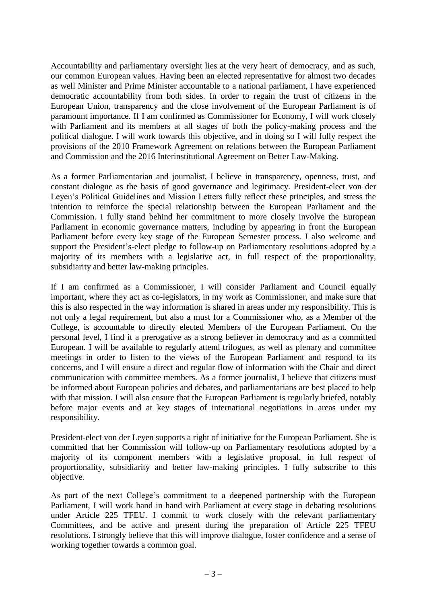Accountability and parliamentary oversight lies at the very heart of democracy, and as such, our common European values. Having been an elected representative for almost two decades as well Minister and Prime Minister accountable to a national parliament, I have experienced democratic accountability from both sides. In order to regain the trust of citizens in the European Union, transparency and the close involvement of the European Parliament is of paramount importance. If I am confirmed as Commissioner for Economy, I will work closely with Parliament and its members at all stages of both the policy-making process and the political dialogue. I will work towards this objective, and in doing so I will fully respect the provisions of the 2010 Framework Agreement on relations between the European Parliament and Commission and the 2016 Interinstitutional Agreement on Better Law-Making.

As a former Parliamentarian and journalist, I believe in transparency, openness, trust, and constant dialogue as the basis of good governance and legitimacy. President-elect von der Leyen's Political Guidelines and Mission Letters fully reflect these principles, and stress the intention to reinforce the special relationship between the European Parliament and the Commission. I fully stand behind her commitment to more closely involve the European Parliament in economic governance matters, including by appearing in front the European Parliament before every key stage of the European Semester process. I also welcome and support the President's-elect pledge to follow-up on Parliamentary resolutions adopted by a majority of its members with a legislative act, in full respect of the proportionality, subsidiarity and better law-making principles.

If I am confirmed as a Commissioner, I will consider Parliament and Council equally important, where they act as co-legislators, in my work as Commissioner, and make sure that this is also respected in the way information is shared in areas under my responsibility. This is not only a legal requirement, but also a must for a Commissioner who, as a Member of the College, is accountable to directly elected Members of the European Parliament. On the personal level, I find it a prerogative as a strong believer in democracy and as a committed European. I will be available to regularly attend trilogues, as well as plenary and committee meetings in order to listen to the views of the European Parliament and respond to its concerns, and I will ensure a direct and regular flow of information with the Chair and direct communication with committee members. As a former journalist, I believe that citizens must be informed about European policies and debates, and parliamentarians are best placed to help with that mission. I will also ensure that the European Parliament is regularly briefed, notably before major events and at key stages of international negotiations in areas under my responsibility.

President-elect von der Leyen supports a right of initiative for the European Parliament. She is committed that her Commission will follow-up on Parliamentary resolutions adopted by a majority of its component members with a legislative proposal, in full respect of proportionality, subsidiarity and better law-making principles. I fully subscribe to this objective.

As part of the next College's commitment to a deepened partnership with the European Parliament, I will work hand in hand with Parliament at every stage in debating resolutions under Article 225 TFEU. I commit to work closely with the relevant parliamentary Committees, and be active and present during the preparation of Article 225 TFEU resolutions. I strongly believe that this will improve dialogue, foster confidence and a sense of working together towards a common goal.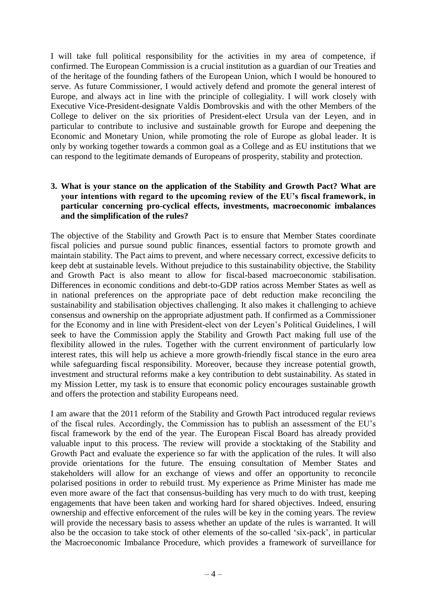I will take full political responsibility for the activities in my area of competence, if confirmed. The European Commission is a crucial institution as a guardian of our Treaties and of the heritage of the founding fathers of the European Union, which I would be honoured to serve. As future Commissioner, I would actively defend and promote the general interest of Europe, and always act in line with the principle of collegiality. I will work closely with Executive Vice-President-designate Valdis Dombrovskis and with the other Members of the College to deliver on the six priorities of President-elect Ursula van der Leyen, and in particular to contribute to inclusive and sustainable growth for Europe and deepening the Economic and Monetary Union, while promoting the role of Europe as global leader. It is only by working together towards a common goal as a College and as EU institutions that we can respond to the legitimate demands of Europeans of prosperity, stability and protection.

## **3. What is your stance on the application of the Stability and Growth Pact? What are your intentions with regard to the upcoming review of the EU's fiscal framework, in particular concerning pro-cyclical effects, investments, macroeconomic imbalances and the simplification of the rules?**

The objective of the Stability and Growth Pact is to ensure that Member States coordinate fiscal policies and pursue sound public finances, essential factors to promote growth and maintain stability. The Pact aims to prevent, and where necessary correct, excessive deficits to keep debt at sustainable levels. Without prejudice to this sustainability objective, the Stability and Growth Pact is also meant to allow for fiscal-based macroeconomic stabilisation. Differences in economic conditions and debt-to-GDP ratios across Member States as well as in national preferences on the appropriate pace of debt reduction make reconciling the sustainability and stabilisation objectives challenging. It also makes it challenging to achieve consensus and ownership on the appropriate adjustment path. If confirmed as a Commissioner for the Economy and in line with President-elect von der Leyen's Political Guidelines, I will seek to have the Commission apply the Stability and Growth Pact making full use of the flexibility allowed in the rules. Together with the current environment of particularly low interest rates, this will help us achieve a more growth-friendly fiscal stance in the euro area while safeguarding fiscal responsibility. Moreover, because they increase potential growth, investment and structural reforms make a key contribution to debt sustainability. As stated in my Mission Letter, my task is to ensure that economic policy encourages sustainable growth and offers the protection and stability Europeans need.

I am aware that the 2011 reform of the Stability and Growth Pact introduced regular reviews of the fiscal rules. Accordingly, the Commission has to publish an assessment of the EU's fiscal framework by the end of the year. The European Fiscal Board has already provided valuable input to this process. The review will provide a stocktaking of the Stability and Growth Pact and evaluate the experience so far with the application of the rules. It will also provide orientations for the future. The ensuing consultation of Member States and stakeholders will allow for an exchange of views and offer an opportunity to reconcile polarised positions in order to rebuild trust. My experience as Prime Minister has made me even more aware of the fact that consensus-building has very much to do with trust, keeping engagements that have been taken and working hard for shared objectives. Indeed, ensuring ownership and effective enforcement of the rules will be key in the coming years. The review will provide the necessary basis to assess whether an update of the rules is warranted. It will also be the occasion to take stock of other elements of the so-called 'six-pack', in particular the Macroeconomic Imbalance Procedure, which provides a framework of surveillance for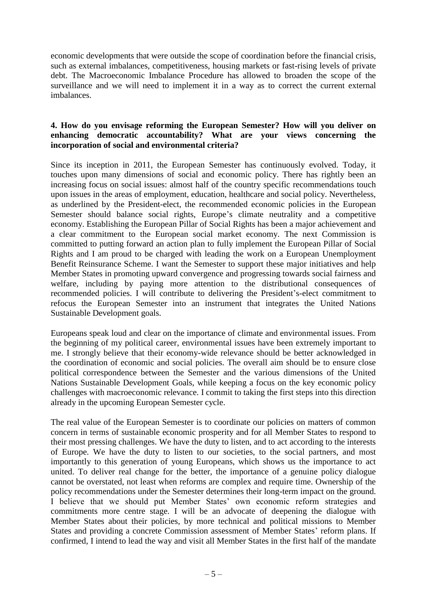economic developments that were outside the scope of coordination before the financial crisis, such as external imbalances, competitiveness, housing markets or fast-rising levels of private debt. The Macroeconomic Imbalance Procedure has allowed to broaden the scope of the surveillance and we will need to implement it in a way as to correct the current external imbalances.

# **4. How do you envisage reforming the European Semester? How will you deliver on enhancing democratic accountability? What are your views concerning the incorporation of social and environmental criteria?**

Since its inception in 2011, the European Semester has continuously evolved. Today, it touches upon many dimensions of social and economic policy. There has rightly been an increasing focus on social issues: almost half of the country specific recommendations touch upon issues in the areas of employment, education, healthcare and social policy. Nevertheless, as underlined by the President-elect, the recommended economic policies in the European Semester should balance social rights, Europe's climate neutrality and a competitive economy. Establishing the European Pillar of Social Rights has been a major achievement and a clear commitment to the European social market economy. The next Commission is committed to putting forward an action plan to fully implement the European Pillar of Social Rights and I am proud to be charged with leading the work on a European Unemployment Benefit Reinsurance Scheme. I want the Semester to support these major initiatives and help Member States in promoting upward convergence and progressing towards social fairness and welfare, including by paying more attention to the distributional consequences of recommended policies. I will contribute to delivering the President's-elect commitment to refocus the European Semester into an instrument that integrates the United Nations Sustainable Development goals.

Europeans speak loud and clear on the importance of climate and environmental issues. From the beginning of my political career, environmental issues have been extremely important to me. I strongly believe that their economy-wide relevance should be better acknowledged in the coordination of economic and social policies. The overall aim should be to ensure close political correspondence between the Semester and the various dimensions of the United Nations Sustainable Development Goals, while keeping a focus on the key economic policy challenges with macroeconomic relevance. I commit to taking the first steps into this direction already in the upcoming European Semester cycle.

The real value of the European Semester is to coordinate our policies on matters of common concern in terms of sustainable economic prosperity and for all Member States to respond to their most pressing challenges. We have the duty to listen, and to act according to the interests of Europe. We have the duty to listen to our societies, to the social partners, and most importantly to this generation of young Europeans, which shows us the importance to act united. To deliver real change for the better, the importance of a genuine policy dialogue cannot be overstated, not least when reforms are complex and require time. Ownership of the policy recommendations under the Semester determines their long-term impact on the ground. I believe that we should put Member States' own economic reform strategies and commitments more centre stage. I will be an advocate of deepening the dialogue with Member States about their policies, by more technical and political missions to Member States and providing a concrete Commission assessment of Member States' reform plans. If confirmed, I intend to lead the way and visit all Member States in the first half of the mandate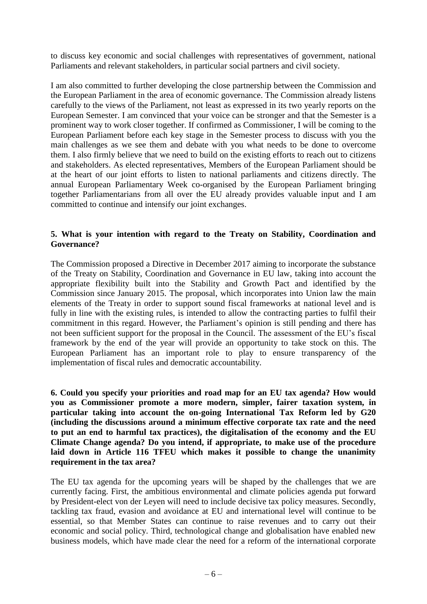to discuss key economic and social challenges with representatives of government, national Parliaments and relevant stakeholders, in particular social partners and civil society.

I am also committed to further developing the close partnership between the Commission and the European Parliament in the area of economic governance. The Commission already listens carefully to the views of the Parliament, not least as expressed in its two yearly reports on the European Semester. I am convinced that your voice can be stronger and that the Semester is a prominent way to work closer together. If confirmed as Commissioner, I will be coming to the European Parliament before each key stage in the Semester process to discuss with you the main challenges as we see them and debate with you what needs to be done to overcome them. I also firmly believe that we need to build on the existing efforts to reach out to citizens and stakeholders. As elected representatives, Members of the European Parliament should be at the heart of our joint efforts to listen to national parliaments and citizens directly. The annual European Parliamentary Week co-organised by the European Parliament bringing together Parliamentarians from all over the EU already provides valuable input and I am committed to continue and intensify our joint exchanges.

# **5. What is your intention with regard to the Treaty on Stability, Coordination and Governance?**

The Commission proposed a Directive in December 2017 aiming to incorporate the substance of the Treaty on Stability, Coordination and Governance in EU law, taking into account the appropriate flexibility built into the Stability and Growth Pact and identified by the Commission since January 2015. The proposal, which incorporates into Union law the main elements of the Treaty in order to support sound fiscal frameworks at national level and is fully in line with the existing rules, is intended to allow the contracting parties to fulfil their commitment in this regard. However, the Parliament's opinion is still pending and there has not been sufficient support for the proposal in the Council. The assessment of the EU's fiscal framework by the end of the year will provide an opportunity to take stock on this. The European Parliament has an important role to play to ensure transparency of the implementation of fiscal rules and democratic accountability.

**6. Could you specify your priorities and road map for an EU tax agenda? How would you as Commissioner promote a more modern, simpler, fairer taxation system, in particular taking into account the on-going International Tax Reform led by G20 (including the discussions around a minimum effective corporate tax rate and the need to put an end to harmful tax practices), the digitalisation of the economy and the EU Climate Change agenda? Do you intend, if appropriate, to make use of the procedure laid down in Article 116 TFEU which makes it possible to change the unanimity requirement in the tax area?**

The EU tax agenda for the upcoming years will be shaped by the challenges that we are currently facing. First, the ambitious environmental and climate policies agenda put forward by President-elect von der Leyen will need to include decisive tax policy measures. Secondly, tackling tax fraud, evasion and avoidance at EU and international level will continue to be essential, so that Member States can continue to raise revenues and to carry out their economic and social policy. Third, technological change and globalisation have enabled new business models, which have made clear the need for a reform of the international corporate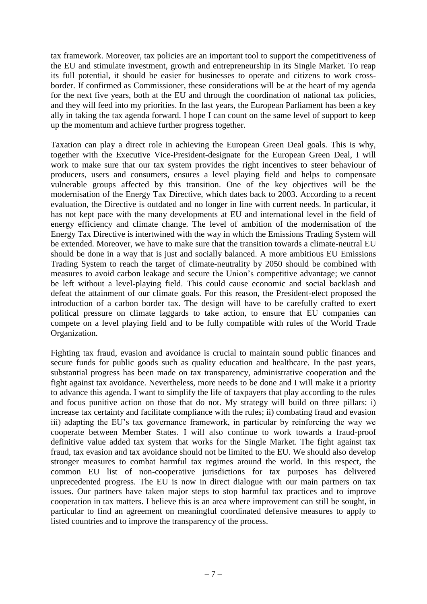tax framework. Moreover, tax policies are an important tool to support the competitiveness of the EU and stimulate investment, growth and entrepreneurship in its Single Market. To reap its full potential, it should be easier for businesses to operate and citizens to work crossborder. If confirmed as Commissioner, these considerations will be at the heart of my agenda for the next five years, both at the EU and through the coordination of national tax policies, and they will feed into my priorities. In the last years, the European Parliament has been a key ally in taking the tax agenda forward. I hope I can count on the same level of support to keep up the momentum and achieve further progress together.

Taxation can play a direct role in achieving the European Green Deal goals. This is why, together with the Executive Vice-President-designate for the European Green Deal, I will work to make sure that our tax system provides the right incentives to steer behaviour of producers, users and consumers, ensures a level playing field and helps to compensate vulnerable groups affected by this transition. One of the key objectives will be the modernisation of the Energy Tax Directive, which dates back to 2003. According to a recent evaluation, the Directive is outdated and no longer in line with current needs. In particular, it has not kept pace with the many developments at EU and international level in the field of energy efficiency and climate change. The level of ambition of the modernisation of the Energy Tax Directive is intertwined with the way in which the Emissions Trading System will be extended. Moreover, we have to make sure that the transition towards a climate-neutral EU should be done in a way that is just and socially balanced. A more ambitious EU Emissions Trading System to reach the target of climate-neutrality by 2050 should be combined with measures to avoid carbon leakage and secure the Union's competitive advantage; we cannot be left without a level-playing field. This could cause economic and social backlash and defeat the attainment of our climate goals. For this reason, the President-elect proposed the introduction of a carbon border tax. The design will have to be carefully crafted to exert political pressure on climate laggards to take action, to ensure that EU companies can compete on a level playing field and to be fully compatible with rules of the World Trade Organization.

Fighting tax fraud, evasion and avoidance is crucial to maintain sound public finances and secure funds for public goods such as quality education and healthcare. In the past years, substantial progress has been made on tax transparency, administrative cooperation and the fight against tax avoidance. Nevertheless, more needs to be done and I will make it a priority to advance this agenda. I want to simplify the life of taxpayers that play according to the rules and focus punitive action on those that do not. My strategy will build on three pillars: i) increase tax certainty and facilitate compliance with the rules; ii) combating fraud and evasion iii) adapting the EU's tax governance framework, in particular by reinforcing the way we cooperate between Member States. I will also continue to work towards a fraud-proof definitive value added tax system that works for the Single Market. The fight against tax fraud, tax evasion and tax avoidance should not be limited to the EU. We should also develop stronger measures to combat harmful tax regimes around the world. In this respect, the common EU list of non-cooperative jurisdictions for tax purposes has delivered unprecedented progress. The EU is now in direct dialogue with our main partners on tax issues. Our partners have taken major steps to stop harmful tax practices and to improve cooperation in tax matters. I believe this is an area where improvement can still be sought, in particular to find an agreement on meaningful coordinated defensive measures to apply to listed countries and to improve the transparency of the process.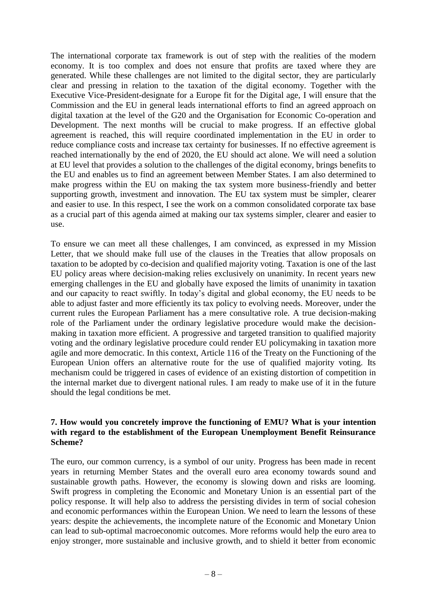The international corporate tax framework is out of step with the realities of the modern economy. It is too complex and does not ensure that profits are taxed where they are generated. While these challenges are not limited to the digital sector, they are particularly clear and pressing in relation to the taxation of the digital economy. Together with the Executive Vice-President-designate for a Europe fit for the Digital age, I will ensure that the Commission and the EU in general leads international efforts to find an agreed approach on digital taxation at the level of the G20 and the Organisation for Economic Co-operation and Development. The next months will be crucial to make progress. If an effective global agreement is reached, this will require coordinated implementation in the EU in order to reduce compliance costs and increase tax certainty for businesses. If no effective agreement is reached internationally by the end of 2020, the EU should act alone. We will need a solution at EU level that provides a solution to the challenges of the digital economy, brings benefits to the EU and enables us to find an agreement between Member States. I am also determined to make progress within the EU on making the tax system more business-friendly and better supporting growth, investment and innovation. The EU tax system must be simpler, clearer and easier to use. In this respect, I see the work on a common consolidated corporate tax base as a crucial part of this agenda aimed at making our tax systems simpler, clearer and easier to use.

To ensure we can meet all these challenges, I am convinced, as expressed in my Mission Letter, that we should make full use of the clauses in the Treaties that allow proposals on taxation to be adopted by co-decision and qualified majority voting. Taxation is one of the last EU policy areas where decision-making relies exclusively on unanimity. In recent years new emerging challenges in the EU and globally have exposed the limits of unanimity in taxation and our capacity to react swiftly. In today's digital and global economy, the EU needs to be able to adjust faster and more efficiently its tax policy to evolving needs. Moreover, under the current rules the European Parliament has a mere consultative role. A true decision-making role of the Parliament under the ordinary legislative procedure would make the decisionmaking in taxation more efficient. A progressive and targeted transition to qualified majority voting and the ordinary legislative procedure could render EU policymaking in taxation more agile and more democratic. In this context, Article 116 of the Treaty on the Functioning of the European Union offers an alternative route for the use of qualified majority voting. Its mechanism could be triggered in cases of evidence of an existing distortion of competition in the internal market due to divergent national rules. I am ready to make use of it in the future should the legal conditions be met.

## **7. How would you concretely improve the functioning of EMU? What is your intention with regard to the establishment of the European Unemployment Benefit Reinsurance Scheme?**

The euro, our common currency, is a symbol of our unity. Progress has been made in recent years in returning Member States and the overall euro area economy towards sound and sustainable growth paths. However, the economy is slowing down and risks are looming. Swift progress in completing the Economic and Monetary Union is an essential part of the policy response. It will help also to address the persisting divides in term of social cohesion and economic performances within the European Union. We need to learn the lessons of these years: despite the achievements, the incomplete nature of the Economic and Monetary Union can lead to sub-optimal macroeconomic outcomes. More reforms would help the euro area to enjoy stronger, more sustainable and inclusive growth, and to shield it better from economic